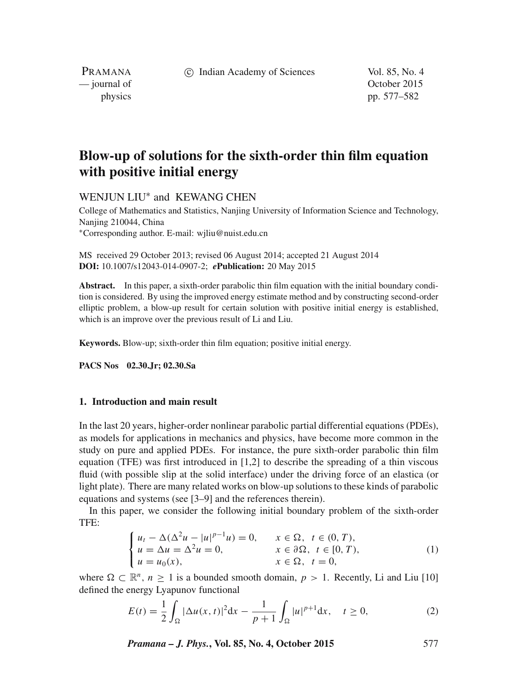(c) Indian Academy of Sciences Vol. 85, No. 4

PRAMANA — journal of Contract of Contract of Contract of Contract of Contract of Contract of Contract of Contract of Contract of Contract of Contract of Contract of Contract of Contract of Contract of Contract of Contract of Contr

physics pp. 577–582

# **Blow-up of solutions for the sixth-order thin film equation with positive initial energy**

# WENJUN LIU<sup>∗</sup> and KEWANG CHEN

College of Mathematics and Statistics, Nanjing University of Information Science and Technology, Nanjing 210044, China <sup>∗</sup>Corresponding author. E-mail: wjliu@nuist.edu.cn

MS received 29 October 2013; revised 06 August 2014; accepted 21 August 2014 **DOI:** 10.1007/s12043-014-0907-2; *e***Publication:** 20 May 2015

**Abstract.** In this paper, a sixth-order parabolic thin film equation with the initial boundary condition is considered. By using the improved energy estimate method and by constructing second-order elliptic problem, a blow-up result for certain solution with positive initial energy is established, which is an improve over the previous result of Li and Liu.

**Keywords.** Blow-up; sixth-order thin film equation; positive initial energy.

**PACS Nos 02.30.Jr; 02.30.Sa**

### **1. Introduction and main result**

In the last 20 years, higher-order nonlinear parabolic partial differential equations (PDEs), as models for applications in mechanics and physics, have become more common in the study on pure and applied PDEs. For instance, the pure sixth-order parabolic thin film equation (TFE) was first introduced in [1,2] to describe the spreading of a thin viscous fluid (with possible slip at the solid interface) under the driving force of an elastica (or light plate). There are many related works on blow-up solutions to these kinds of parabolic equations and systems (see [3–9] and the references therein).

In this paper, we consider the following initial boundary problem of the sixth-order TFE:

$$
\begin{cases}\n u_t - \Delta(\Delta^2 u - |u|^{p-1}u) = 0, & x \in \Omega, \ t \in (0, T), \\
 u = \Delta u = \Delta^2 u = 0, & x \in \partial\Omega, \ t \in [0, T), \\
 u = u_0(x), & x \in \Omega, \ t = 0,\n\end{cases}
$$
\n(1)

where  $\Omega \subset \mathbb{R}^n$ ,  $n \ge 1$  is a bounded smooth domain,  $p > 1$ . Recently, Li and Liu [10] defined the energy Lyapunov functional

$$
E(t) = \frac{1}{2} \int_{\Omega} |\Delta u(x, t)|^2 dx - \frac{1}{p+1} \int_{\Omega} |u|^{p+1} dx, \quad t \ge 0,
$$
 (2)

*Pramana – J. Phys.***, Vol. 85, No. 4, October 2015** 577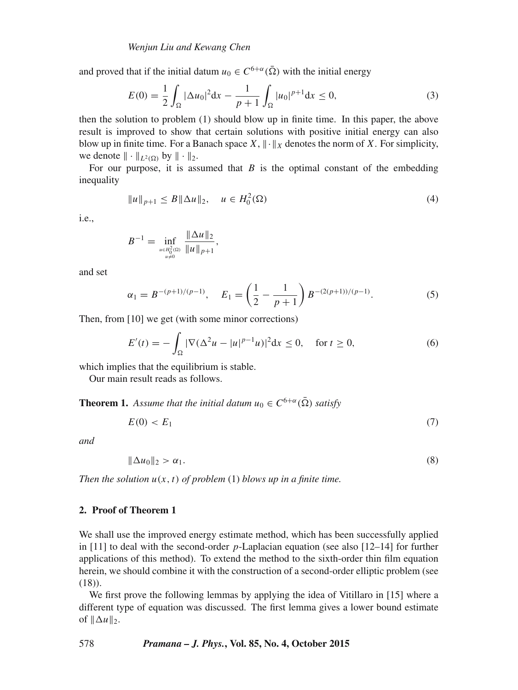and proved that if the initial datum  $u_0 \in C^{6+\alpha}(\bar{\Omega})$  with the initial energy

$$
E(0) = \frac{1}{2} \int_{\Omega} |\Delta u_0|^2 dx - \frac{1}{p+1} \int_{\Omega} |u_0|^{p+1} dx \le 0,
$$
 (3)

then the solution to problem (1) should blow up in finite time. In this paper, the above result is improved to show that certain solutions with positive initial energy can also blow up in finite time. For a Banach space  $X$ ,  $\|\cdot\|_X$  denotes the norm of X. For simplicity, we denote  $\|\cdot\|_{L^2(\Omega)}$  by  $\|\cdot\|_2$ .

For our purpose, it is assumed that  $B$  is the optimal constant of the embedding inequality

$$
||u||_{p+1} \le B||\Delta u||_2, \quad u \in H_0^2(\Omega)
$$
 (4)

i.e.,

$$
B^{-1} = \inf_{\substack{u \in H_0^2(\Omega) \\ u \neq 0}} \frac{\|\Delta u\|_2}{\|u\|_{p+1}},
$$

and set

$$
\alpha_1 = B^{-(p+1)/(p-1)}, \quad E_1 = \left(\frac{1}{2} - \frac{1}{p+1}\right) B^{-(2(p+1))/(p-1)}.
$$
 (5)

Then, from [10] we get (with some minor corrections)

$$
E'(t) = -\int_{\Omega} |\nabla (\Delta^2 u - |u|^{p-1} u)|^2 dx \le 0, \quad \text{for } t \ge 0,
$$
 (6)

which implies that the equilibrium is stable.

Our main result reads as follows.

**Theorem 1.** Assume that the initial datum  $u_0 \in C^{6+\alpha}(\overline{\Omega})$  satisfy

$$
E(0) < E_1 \tag{7}
$$

*and*

$$
\|\Delta u_0\|_2 > \alpha_1. \tag{8}
$$

*Then the solution*  $u(x, t)$  *of problem* (1) *blows up in a finite time.* 

# **2. Proof of Theorem 1**

We shall use the improved energy estimate method, which has been successfully applied in [11] to deal with the second-order  $p$ -Laplacian equation (see also [12–14] for further applications of this method). To extend the method to the sixth-order thin film equation herein, we should combine it with the construction of a second-order elliptic problem (see (18)).

We first prove the following lemmas by applying the idea of Vitillaro in [15] where a different type of equation was discussed. The first lemma gives a lower bound estimate of  $\|\Delta u\|_2$ .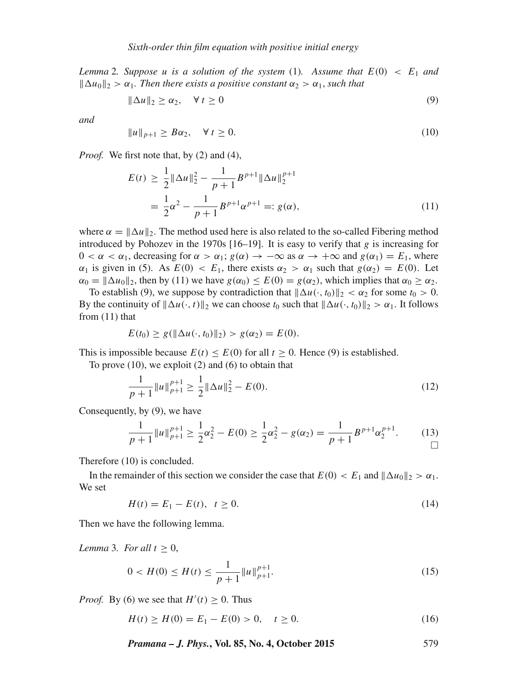*Lemma* 2*.* Suppose u is a solution of the system (1). Assume that  $E(0) < E_1$  and  $\|\Delta u_0\|_2 > \alpha_1$ . Then there exists a positive constant  $\alpha_2 > \alpha_1$ , such that

$$
\|\Delta u\|_2 \ge \alpha_2, \quad \forall \ t \ge 0 \tag{9}
$$

*and*

$$
||u||_{p+1} \ge B\alpha_2, \quad \forall \ t \ge 0. \tag{10}
$$

*Proof.* We first note that, by (2) and (4),

$$
E(t) \ge \frac{1}{2} \|\Delta u\|_2^2 - \frac{1}{p+1} B^{p+1} \|\Delta u\|_2^{p+1}
$$
  
=  $\frac{1}{2} \alpha^2 - \frac{1}{p+1} B^{p+1} \alpha^{p+1} =: g(\alpha),$  (11)

where  $\alpha = ||\Delta u||_2$ . The method used here is also related to the so-called Fibering method introduced by Pohozev in the 1970s [16–19]. It is easy to verify that g is increasing for  $0 < \alpha < \alpha_1$ , decreasing for  $\alpha > \alpha_1$ ;  $g(\alpha) \rightarrow -\infty$  as  $\alpha \rightarrow +\infty$  and  $g(\alpha_1) = E_1$ , where  $\alpha_1$  is given in (5). As  $E(0) < E_1$ , there exists  $\alpha_2 > \alpha_1$  such that  $g(\alpha_2) = E(0)$ . Let  $\alpha_0 = ||\Delta u_0||_2$ , then by (11) we have  $g(\alpha_0) \le E(0) = g(\alpha_2)$ , which implies that  $\alpha_0 \ge \alpha_2$ .

To establish (9), we suppose by contradiction that  $\|\Delta u(\cdot, t_0)\|_2 < \alpha_2$  for some  $t_0 > 0$ . By the continuity of  $\|\Delta u(\cdot,t)\|_2$  we can choose  $t_0$  such that  $\|\Delta u(\cdot,t_0)\|_2 > \alpha_1$ . It follows from (11) that

$$
E(t_0) \ge g(||\Delta u(\cdot, t_0)||_2) > g(\alpha_2) = E(0).
$$

This is impossible because  $E(t) \le E(0)$  for all  $t \ge 0$ . Hence (9) is established.

To prove  $(10)$ , we exploit  $(2)$  and  $(6)$  to obtain that

$$
\frac{1}{p+1}||u||_{p+1}^{p+1} \ge \frac{1}{2}||\Delta u||_2^2 - E(0).
$$
\n(12)

Consequently, by (9), we have

$$
\frac{1}{p+1}||u||_{p+1}^{p+1} \ge \frac{1}{2}\alpha_2^2 - E(0) \ge \frac{1}{2}\alpha_2^2 - g(\alpha_2) = \frac{1}{p+1}B^{p+1}\alpha_2^{p+1}.\tag{13}
$$

Therefore (10) is concluded.

In the remainder of this section we consider the case that  $E(0) < E_1$  and  $\|\Delta u_0\|_2 > \alpha_1$ . We set

$$
H(t) = E_1 - E(t), \quad t \ge 0.
$$
\n(14)

Then we have the following lemma.

*Lemma* 3*. For all*  $t \geq 0$ ,

$$
0 < H(0) \le H(t) \le \frac{1}{p+1} \|u\|_{p+1}^{p+1}.\tag{15}
$$

*Proof.* By (6) we see that  $H'(t) \geq 0$ . Thus

 $H(t) \ge H(0) = E_1 - E(0) > 0, \quad t \ge 0.$  (16)

*Pramana – J. Phys.***, Vol. 85, No. 4, October 2015** 579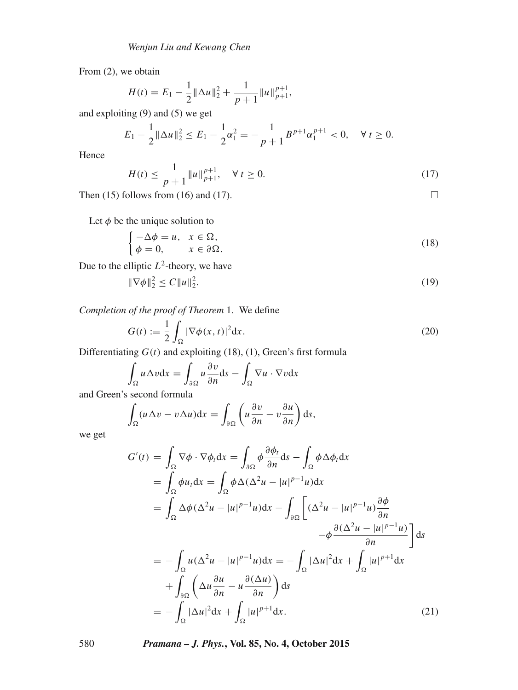From (2), we obtain

$$
H(t) = E_1 - \frac{1}{2} ||\Delta u||_2^2 + \frac{1}{p+1} ||u||_{p+1}^{p+1},
$$

and exploiting (9) and (5) we get

$$
E_1 - \frac{1}{2} \|\Delta u\|_2^2 \le E_1 - \frac{1}{2} \alpha_1^2 = -\frac{1}{p+1} B^{p+1} \alpha_1^{p+1} < 0, \quad \forall \, t \ge 0.
$$

Hence

$$
H(t) \le \frac{1}{p+1} \|u\|_{p+1}^{p+1}, \quad \forall \ t \ge 0.
$$
 (17)

Then (15) follows from (16) and (17).  $\Box$ 

Let  $\phi$  be the unique solution to

$$
\begin{cases}\n-\Delta \phi = u, & x \in \Omega, \\
\phi = 0, & x \in \partial \Omega.\n\end{cases}
$$
\n(18)

Due to the elliptic  $L^2$ -theory, we have

$$
\|\nabla \phi\|_2^2 \le C \|u\|_2^2. \tag{19}
$$

*Completion of the proof of Theorem* 1. We define

$$
G(t) := \frac{1}{2} \int_{\Omega} |\nabla \phi(x, t)|^2 dx.
$$
 (20)

Differentiating  $G(t)$  and exploiting (18), (1), Green's first formula

$$
\int_{\Omega} u \Delta v dx = \int_{\partial \Omega} u \frac{\partial v}{\partial n} ds - \int_{\Omega} \nabla u \cdot \nabla v dx
$$

and Green's second formula

$$
\int_{\Omega} (u \Delta v - v \Delta u) \mathrm{d}x = \int_{\partial \Omega} \left( u \frac{\partial v}{\partial n} - v \frac{\partial u}{\partial n} \right) \mathrm{d}s,
$$

we get

$$
G'(t) = \int_{\Omega} \nabla \phi \cdot \nabla \phi_t dx = \int_{\partial \Omega} \phi \frac{\partial \phi_t}{\partial n} ds - \int_{\Omega} \phi \Delta \phi_t dx
$$
  
\n
$$
= \int_{\Omega} \phi u_t dx = \int_{\Omega} \phi \Delta (\Delta^2 u - |u|^{p-1} u) dx
$$
  
\n
$$
= \int_{\Omega} \Delta \phi (\Delta^2 u - |u|^{p-1} u) dx - \int_{\partial \Omega} \left[ (\Delta^2 u - |u|^{p-1} u) \frac{\partial \phi}{\partial n} - \phi \frac{\partial (\Delta^2 u - |u|^{p-1} u)}{\partial n} \right] ds
$$
  
\n
$$
= - \int_{\Omega} u (\Delta^2 u - |u|^{p-1} u) dx = - \int_{\Omega} |\Delta u|^2 dx + \int_{\Omega} |u|^{p+1} dx
$$
  
\n
$$
+ \int_{\partial \Omega} \left( \Delta u \frac{\partial u}{\partial n} - u \frac{\partial (\Delta u)}{\partial n} \right) ds
$$
  
\n
$$
= - \int_{\Omega} |\Delta u|^2 dx + \int_{\Omega} |u|^{p+1} dx.
$$
 (21)

580 *Pramana – J. Phys.***, Vol. 85, No. 4, October 2015**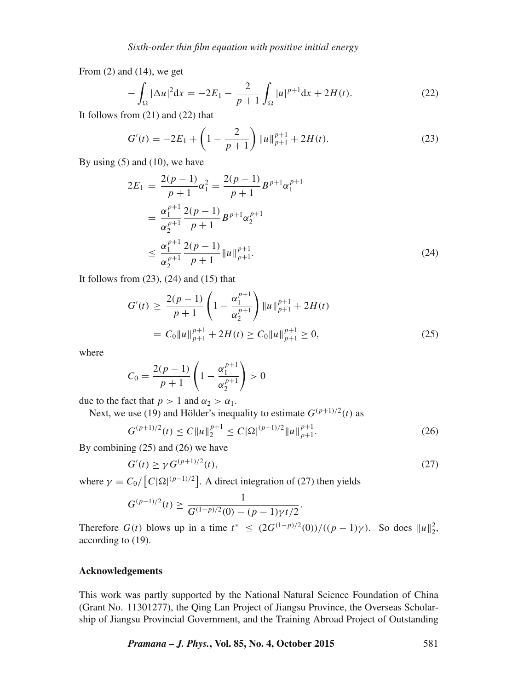From  $(2)$  and  $(14)$ , we get

$$
-\int_{\Omega} |\Delta u|^2 dx = -2E_1 - \frac{2}{p+1} \int_{\Omega} |u|^{p+1} dx + 2H(t).
$$
 (22)

It follows from (21) and (22) that

$$
G'(t) = -2E_1 + \left(1 - \frac{2}{p+1}\right) \|u\|_{p+1}^{p+1} + 2H(t).
$$
 (23)

By using  $(5)$  and  $(10)$ , we have

$$
2E_1 = \frac{2(p-1)}{p+1} \alpha_1^2 = \frac{2(p-1)}{p+1} B^{p+1} \alpha_1^{p+1}
$$
  
= 
$$
\frac{\alpha_1^{p+1}}{\alpha_2^{p+1}} \frac{2(p-1)}{p+1} B^{p+1} \alpha_2^{p+1}
$$
  

$$
\leq \frac{\alpha_1^{p+1}}{\alpha_2^{p+1}} \frac{2(p-1)}{p+1} ||u||_{p+1}^{p+1}.
$$
 (24)

It follows from  $(23)$ ,  $(24)$  and  $(15)$  that

$$
G'(t) \ge \frac{2(p-1)}{p+1} \left(1 - \frac{\alpha_1^{p+1}}{\alpha_2^{p+1}}\right) \|u\|_{p+1}^{p+1} + 2H(t)
$$
  
=  $C_0 \|u\|_{p+1}^{p+1} + 2H(t) \ge C_0 \|u\|_{p+1}^{p+1} \ge 0,$  (25)

where

$$
C_0 = \frac{2(p-1)}{p+1} \left( 1 - \frac{\alpha_1^{p+1}}{\alpha_2^{p+1}} \right) > 0
$$

due to the fact that  $p > 1$  and  $\alpha_2 > \alpha_1$ .

Next, we use (19) and Hölder's inequality to estimate  $G^{(p+1)/2}(t)$  as

$$
G^{(p+1)/2}(t) \le C \|u\|_2^{p+1} \le C |\Omega|^{(p-1)/2} \|u\|_{p+1}^{p+1}.
$$
\n(26)

By combining (25) and (26) we have

$$
G'(t) \ge \gamma G^{(p+1)/2}(t),\tag{27}
$$

where  $\gamma = C_0 / [C |\Omega|^{(p-1)/2}]$ . A direct integration of (27) then yields

$$
G^{(p-1)/2}(t) \ge \frac{1}{G^{(1-p)/2}(0) - (p-1)\gamma t/2}.
$$

Therefore  $G(t)$  blows up in a time  $t^* \leq (2G^{(1-p)/2}(0))/((p-1)\gamma)$ . So does  $||u||_2^2$ , according to (19).

## **Acknowledgements**

This work was partly supported by the National Natural Science Foundation of China (Grant No. 11301277), the Qing Lan Project of Jiangsu Province, the Overseas Scholarship of Jiangsu Provincial Government, and the Training Abroad Project of Outstanding

*Pramana – J. Phys.***, Vol. 85, No. 4, October 2015** 581